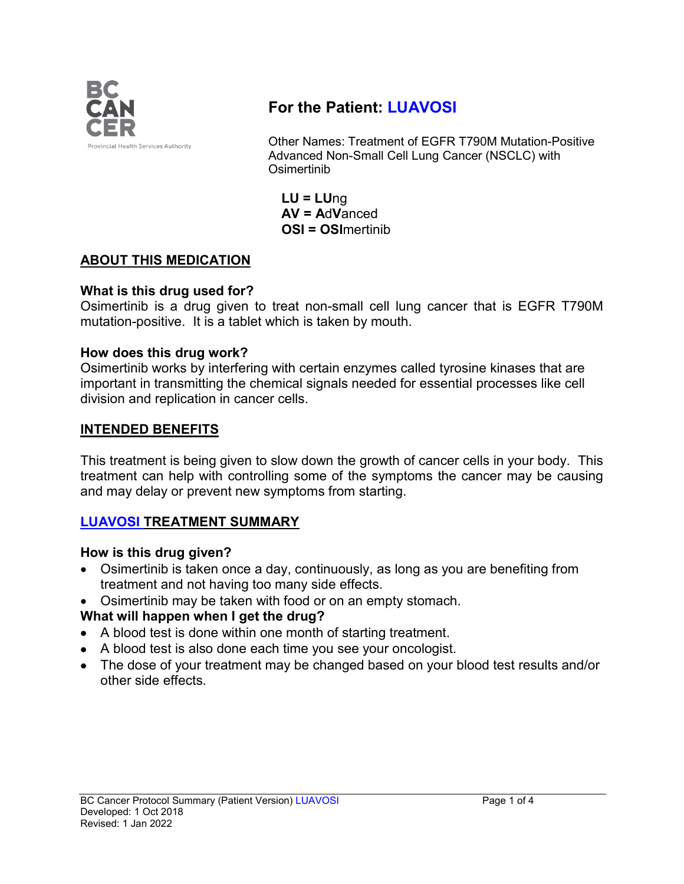

# **For the Patient: LUAVOSI**

Other Names: Treatment of EGFR T790M Mutation-Positive Advanced Non-Small Cell Lung Cancer (NSCLC) with **Osimertinib** 

**LU = LU**ng **AV = A**d**V**anced **OSI = OSI**mertinib

## **ABOUT THIS MEDICATION**

#### **What is this drug used for?**

Osimertinib is a drug given to treat non-small cell lung cancer that is EGFR T790M mutation-positive. It is a tablet which is taken by mouth.

#### **How does this drug work?**

Osimertinib works by interfering with certain enzymes called tyrosine kinases that are important in transmitting the chemical signals needed for essential processes like cell division and replication in cancer cells.

#### **INTENDED BENEFITS**

This treatment is being given to slow down the growth of cancer cells in your body. This treatment can help with controlling some of the symptoms the cancer may be causing and may delay or prevent new symptoms from starting.

# **LUAVOSI TREATMENT SUMMARY**

#### **How is this drug given?**

- Osimertinib is taken once a day, continuously, as long as you are benefiting from treatment and not having too many side effects.
- Osimertinib may be taken with food or on an empty stomach.

# **What will happen when I get the drug?**

- A blood test is done within one month of starting treatment.
- A blood test is also done each time you see your oncologist.
- The dose of your treatment may be changed based on your blood test results and/or other side effects.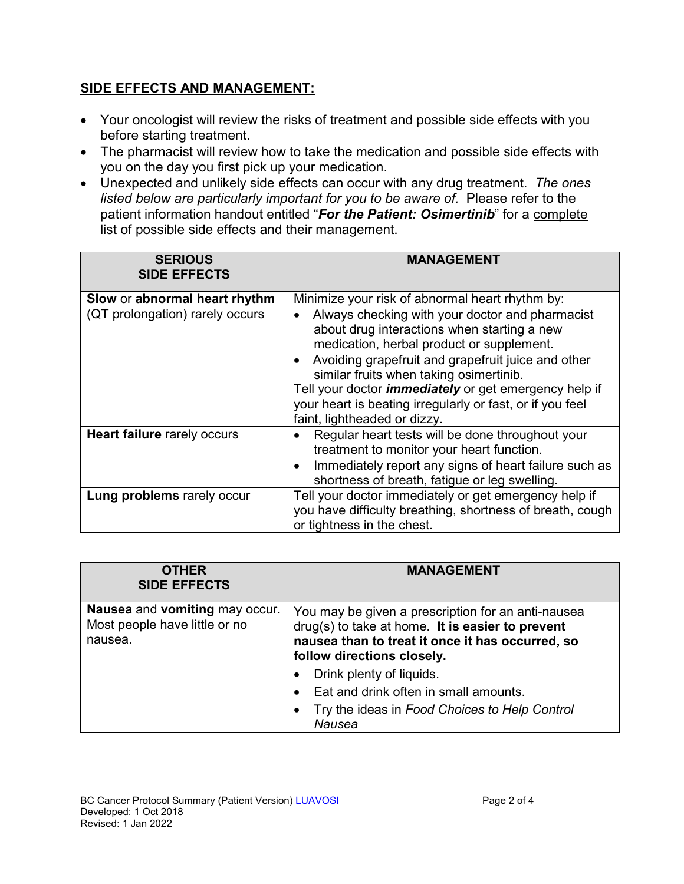# **SIDE EFFECTS AND MANAGEMENT:**

- Your oncologist will review the risks of treatment and possible side effects with you before starting treatment.
- The pharmacist will review how to take the medication and possible side effects with you on the day you first pick up your medication.
- Unexpected and unlikely side effects can occur with any drug treatment. *The ones listed below are particularly important for you to be aware of.* Please refer to the patient information handout entitled "*For the Patient: Osimertinib*" for a complete list of possible side effects and their management.

| <b>SERIOUS</b><br><b>SIDE EFFECTS</b>                            | <b>MANAGEMENT</b>                                                                                                                                                                                                                                                                                                                                                                                                                                            |
|------------------------------------------------------------------|--------------------------------------------------------------------------------------------------------------------------------------------------------------------------------------------------------------------------------------------------------------------------------------------------------------------------------------------------------------------------------------------------------------------------------------------------------------|
| Slow or abnormal heart rhythm<br>(QT prolongation) rarely occurs | Minimize your risk of abnormal heart rhythm by:<br>Always checking with your doctor and pharmacist<br>about drug interactions when starting a new<br>medication, herbal product or supplement.<br>Avoiding grapefruit and grapefruit juice and other<br>similar fruits when taking osimertinib.<br>Tell your doctor <i>immediately</i> or get emergency help if<br>your heart is beating irregularly or fast, or if you feel<br>faint, lightheaded or dizzy. |
| <b>Heart failure rarely occurs</b>                               | Regular heart tests will be done throughout your<br>treatment to monitor your heart function.<br>Immediately report any signs of heart failure such as<br>shortness of breath, fatigue or leg swelling.                                                                                                                                                                                                                                                      |
| Lung problems rarely occur                                       | Tell your doctor immediately or get emergency help if<br>you have difficulty breathing, shortness of breath, cough<br>or tightness in the chest.                                                                                                                                                                                                                                                                                                             |

| <b>OTHER</b><br><b>SIDE EFFECTS</b>                                        | <b>MANAGEMENT</b>                                                                                                                                                                        |
|----------------------------------------------------------------------------|------------------------------------------------------------------------------------------------------------------------------------------------------------------------------------------|
| Nausea and vomiting may occur.<br>Most people have little or no<br>nausea. | You may be given a prescription for an anti-nausea<br>drug(s) to take at home. It is easier to prevent<br>nausea than to treat it once it has occurred, so<br>follow directions closely. |
|                                                                            | Drink plenty of liquids.                                                                                                                                                                 |
|                                                                            | Eat and drink often in small amounts.                                                                                                                                                    |
|                                                                            | Try the ideas in Food Choices to Help Control<br>Nausea                                                                                                                                  |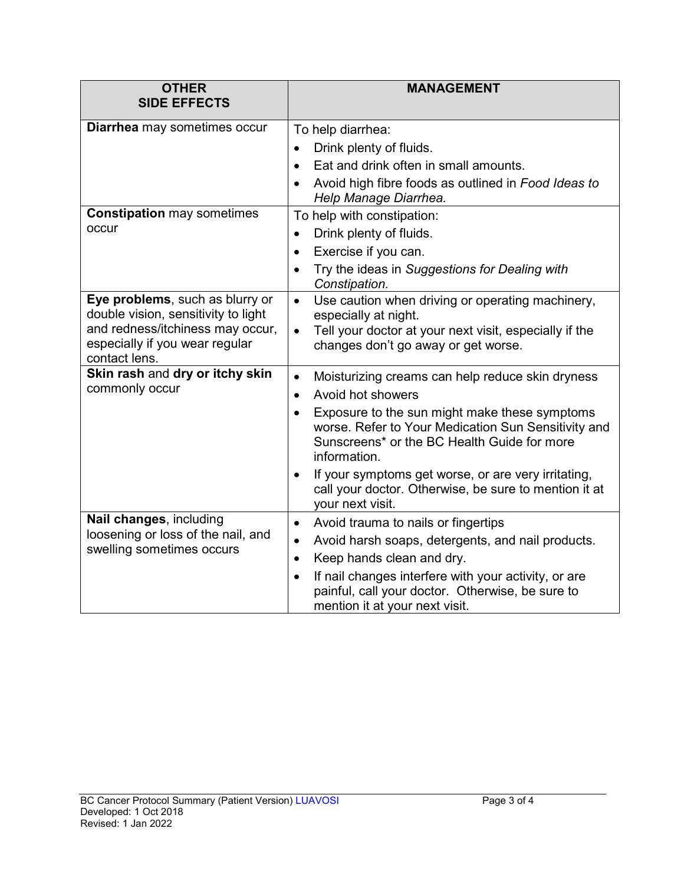| <b>OTHER</b><br><b>SIDE EFFECTS</b>                                                        | <b>MANAGEMENT</b>                                                                         |
|--------------------------------------------------------------------------------------------|-------------------------------------------------------------------------------------------|
|                                                                                            |                                                                                           |
| Diarrhea may sometimes occur                                                               | To help diarrhea:                                                                         |
|                                                                                            | Drink plenty of fluids.<br>$\bullet$                                                      |
|                                                                                            | Eat and drink often in small amounts.                                                     |
|                                                                                            | Avoid high fibre foods as outlined in Food Ideas to<br>$\bullet$<br>Help Manage Diarrhea. |
| <b>Constipation may sometimes</b><br>occur                                                 | To help with constipation:                                                                |
|                                                                                            | Drink plenty of fluids.<br>$\bullet$                                                      |
|                                                                                            | Exercise if you can.<br>$\bullet$                                                         |
|                                                                                            | Try the ideas in Suggestions for Dealing with<br>$\bullet$<br>Constipation.               |
| Eye problems, such as blurry or                                                            | Use caution when driving or operating machinery,<br>$\bullet$                             |
| double vision, sensitivity to light                                                        | especially at night.                                                                      |
| and redness/itchiness may occur,<br>especially if you wear regular                         | Tell your doctor at your next visit, especially if the<br>$\bullet$                       |
| contact lens.                                                                              | changes don't go away or get worse.                                                       |
| Skin rash and dry or itchy skin                                                            | Moisturizing creams can help reduce skin dryness<br>$\bullet$                             |
| commonly occur                                                                             | Avoid hot showers<br>$\bullet$                                                            |
|                                                                                            | Exposure to the sun might make these symptoms<br>$\bullet$                                |
|                                                                                            | worse. Refer to Your Medication Sun Sensitivity and                                       |
|                                                                                            | Sunscreens* or the BC Health Guide for more<br>information.                               |
|                                                                                            | If your symptoms get worse, or are very irritating,<br>$\bullet$                          |
|                                                                                            | call your doctor. Otherwise, be sure to mention it at<br>your next visit.                 |
| Nail changes, including<br>loosening or loss of the nail, and<br>swelling sometimes occurs | Avoid trauma to nails or fingertips<br>$\bullet$                                          |
|                                                                                            | Avoid harsh soaps, detergents, and nail products.<br>$\bullet$                            |
|                                                                                            | Keep hands clean and dry.<br>$\bullet$                                                    |
|                                                                                            | If nail changes interfere with your activity, or are<br>$\bullet$                         |
|                                                                                            | painful, call your doctor. Otherwise, be sure to                                          |
|                                                                                            | mention it at your next visit.                                                            |